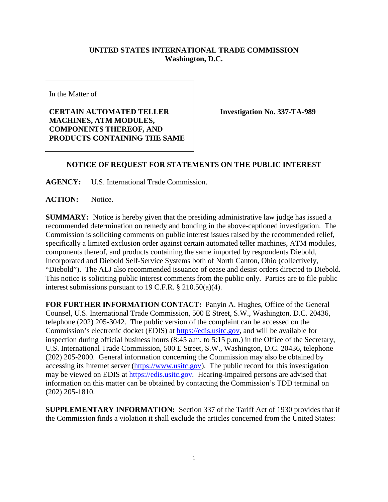## **UNITED STATES INTERNATIONAL TRADE COMMISSION Washington, D.C.**

In the Matter of

## **CERTAIN AUTOMATED TELLER MACHINES, ATM MODULES, COMPONENTS THEREOF, AND PRODUCTS CONTAINING THE SAME**

**Investigation No. 337-TA-989**

## **NOTICE OF REQUEST FOR STATEMENTS ON THE PUBLIC INTEREST**

**AGENCY:** U.S. International Trade Commission.

**ACTION:** Notice.

**SUMMARY:** Notice is hereby given that the presiding administrative law judge has issued a recommended determination on remedy and bonding in the above-captioned investigation. The Commission is soliciting comments on public interest issues raised by the recommended relief, specifically a limited exclusion order against certain automated teller machines, ATM modules, components thereof, and products containing the same imported by respondents Diebold, Incorporated and Diebold Self-Service Systems both of North Canton, Ohio (collectively, "Diebold"). The ALJ also recommended issuance of cease and desist orders directed to Diebold. This notice is soliciting public interest comments from the public only. Parties are to file public interest submissions pursuant to 19 C.F.R. § 210.50(a)(4).

**FOR FURTHER INFORMATION CONTACT:** Panyin A. Hughes, Office of the General Counsel, U.S. International Trade Commission, 500 E Street, S.W., Washington, D.C. 20436, telephone (202) 205-3042. The public version of the complaint can be accessed on the Commission's electronic docket (EDIS) at [https://edis.usitc.gov,](https://edis.usitc.gov/) and will be available for inspection during official business hours (8:45 a.m. to 5:15 p.m.) in the Office of the Secretary, U.S. International Trade Commission, 500 E Street, S.W., Washington, D.C. 20436, telephone (202) 205-2000. General information concerning the Commission may also be obtained by accessing its Internet server [\(https://www.usitc.gov\)](https://www.usitc.gov/). The public record for this investigation may be viewed on EDIS at [https://edis.usitc.gov](https://edis.usitc.gov/)*.* Hearing-impaired persons are advised that information on this matter can be obtained by contacting the Commission's TDD terminal on (202) 205-1810.

**SUPPLEMENTARY INFORMATION:** Section 337 of the Tariff Act of 1930 provides that if the Commission finds a violation it shall exclude the articles concerned from the United States: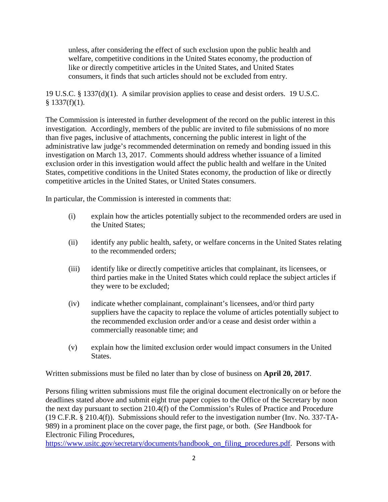unless, after considering the effect of such exclusion upon the public health and welfare, competitive conditions in the United States economy, the production of like or directly competitive articles in the United States, and United States consumers, it finds that such articles should not be excluded from entry.

19 U.S.C. § 1337(d)(1). A similar provision applies to cease and desist orders. 19 U.S.C.  $§$  1337(f)(1).

The Commission is interested in further development of the record on the public interest in this investigation. Accordingly, members of the public are invited to file submissions of no more than five pages, inclusive of attachments, concerning the public interest in light of the administrative law judge's recommended determination on remedy and bonding issued in this investigation on March 13, 2017. Comments should address whether issuance of a limited exclusion order in this investigation would affect the public health and welfare in the United States, competitive conditions in the United States economy, the production of like or directly competitive articles in the United States, or United States consumers.

In particular, the Commission is interested in comments that:

- (i) explain how the articles potentially subject to the recommended orders are used in the United States;
- (ii) identify any public health, safety, or welfare concerns in the United States relating to the recommended orders;
- (iii) identify like or directly competitive articles that complainant, its licensees, or third parties make in the United States which could replace the subject articles if they were to be excluded;
- (iv) indicate whether complainant, complainant's licensees, and/or third party suppliers have the capacity to replace the volume of articles potentially subject to the recommended exclusion order and/or a cease and desist order within a commercially reasonable time; and
- (v) explain how the limited exclusion order would impact consumers in the United States.

Written submissions must be filed no later than by close of business on **April 20, 2017**.

Persons filing written submissions must file the original document electronically on or before the deadlines stated above and submit eight true paper copies to the Office of the Secretary by noon the next day pursuant to section 210.4(f) of the Commission's Rules of Practice and Procedure (19 C.F.R. § 210.4(f)). Submissions should refer to the investigation number (Inv. No. 337-TA-989) in a prominent place on the cover page, the first page, or both. (*See* Handbook for Electronic Filing Procedures,

https://www.usitc.gov/secretary/documents/handbook on filing procedures.pdf. Persons with